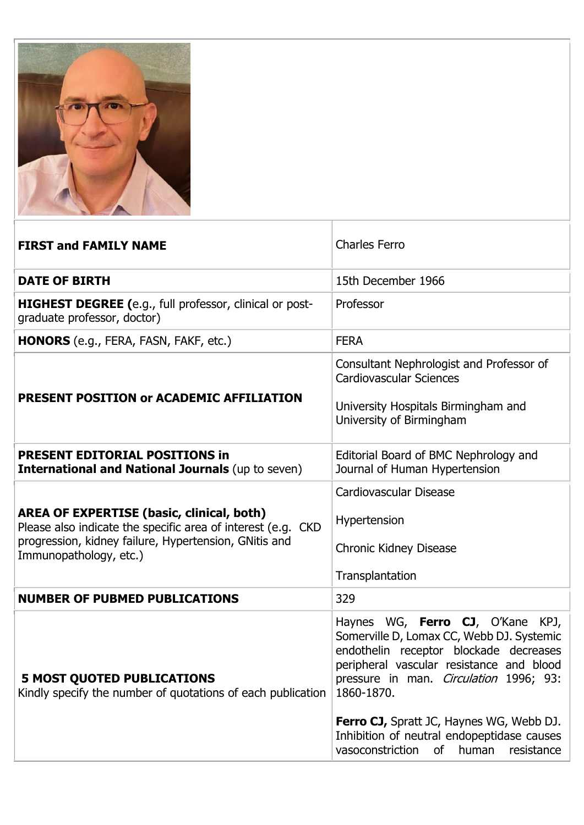

| <b>FIRST and FAMILY NAME</b>                                                                                     | <b>Charles Ferro</b>                                                                                                                                                                                                               |
|------------------------------------------------------------------------------------------------------------------|------------------------------------------------------------------------------------------------------------------------------------------------------------------------------------------------------------------------------------|
| <b>DATE OF BIRTH</b>                                                                                             | 15th December 1966                                                                                                                                                                                                                 |
| HIGHEST DEGREE (e.g., full professor, clinical or post-<br>graduate professor, doctor)                           | Professor                                                                                                                                                                                                                          |
| HONORS (e.g., FERA, FASN, FAKF, etc.)                                                                            | <b>FERA</b>                                                                                                                                                                                                                        |
|                                                                                                                  | Consultant Nephrologist and Professor of<br><b>Cardiovascular Sciences</b>                                                                                                                                                         |
| PRESENT POSITION or ACADEMIC AFFILIATION                                                                         | University Hospitals Birmingham and<br>University of Birmingham                                                                                                                                                                    |
| <b>PRESENT EDITORIAL POSITIONS in</b><br><b>International and National Journals (up to seven)</b>                | Editorial Board of BMC Nephrology and<br>Journal of Human Hypertension                                                                                                                                                             |
|                                                                                                                  | Cardiovascular Disease                                                                                                                                                                                                             |
| <b>AREA OF EXPERTISE (basic, clinical, both)</b><br>Please also indicate the specific area of interest (e.g. CKD | Hypertension                                                                                                                                                                                                                       |
| progression, kidney failure, Hypertension, GNitis and<br>Immunopathology, etc.)                                  | <b>Chronic Kidney Disease</b>                                                                                                                                                                                                      |
|                                                                                                                  | Transplantation                                                                                                                                                                                                                    |
| <b>NUMBER OF PUBMED PUBLICATIONS</b>                                                                             | 329                                                                                                                                                                                                                                |
| <b>5 MOST QUOTED PUBLICATIONS</b><br>Kindly specify the number of quotations of each publication                 | Haynes WG, Ferro CJ, O'Kane KPJ,<br>Somerville D, Lomax CC, Webb DJ. Systemic<br>endothelin receptor blockade decreases<br>peripheral vascular resistance and blood<br>pressure in man. <i>Circulation</i> 1996; 93:<br>1860-1870. |
|                                                                                                                  | <b>Ferro CJ, Spratt JC, Haynes WG, Webb DJ.</b><br>Inhibition of neutral endopeptidase causes<br>vasoconstriction<br>of<br>human<br>resistance                                                                                     |